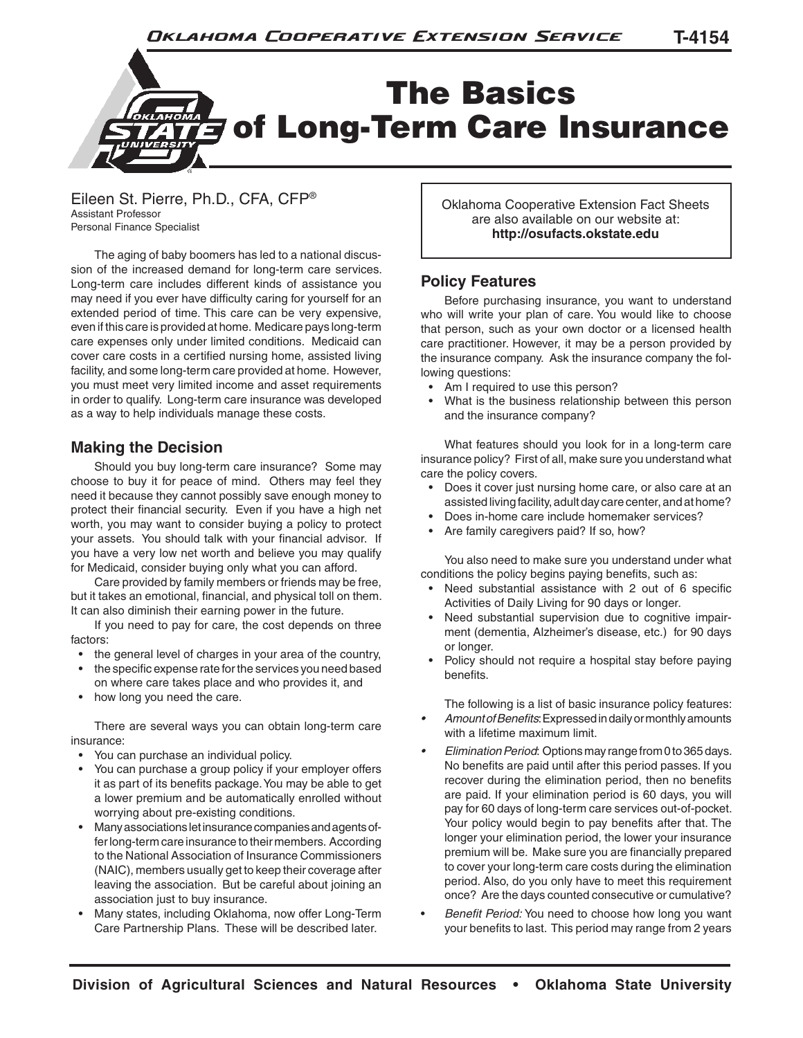

Eileen St. Pierre, Ph.D., CFA, CFP® Assistant Professor Personal Finance Specialist

The aging of baby boomers has led to a national discussion of the increased demand for long-term care services. Long-term care includes different kinds of assistance you may need if you ever have difficulty caring for yourself for an extended period of time. This care can be very expensive, even if this care is provided at home. Medicare pays long-term care expenses only under limited conditions. Medicaid can cover care costs in a certified nursing home, assisted living facility, and some long-term care provided at home. However, you must meet very limited income and asset requirements in order to qualify. Long-term care insurance was developed as a way to help individuals manage these costs.

## **Making the Decision**

Should you buy long-term care insurance? Some may choose to buy it for peace of mind. Others may feel they need it because they cannot possibly save enough money to protect their financial security. Even if you have a high net worth, you may want to consider buying a policy to protect your assets. You should talk with your financial advisor. If you have a very low net worth and believe you may qualify for Medicaid, consider buying only what you can afford.

Care provided by family members or friends may be free, but it takes an emotional, financial, and physical toll on them. It can also diminish their earning power in the future.

If you need to pay for care, the cost depends on three factors:

- the general level of charges in your area of the country,
- the specific expense rate for the services you need based on where care takes place and who provides it, and
- how long you need the care.

There are several ways you can obtain long-term care insurance:

- You can purchase an individual policy.
- You can purchase a group policy if your employer offers it as part of its benefits package. You may be able to get a lower premium and be automatically enrolled without worrying about pre-existing conditions.
- Many associations let insurance companies and agents offer long-term care insurance to their members. According to the National Association of Insurance Commissioners (NAIC), members usually get to keep their coverage after leaving the association. But be careful about joining an association just to buy insurance.
- Many states, including Oklahoma, now offer Long-Term Care Partnership Plans. These will be described later.

Oklahoma Cooperative Extension Fact Sheets are also available on our website at: **http://osufacts.okstate.edu**

### **Policy Features**

Before purchasing insurance, you want to understand who will write your plan of care. You would like to choose that person, such as your own doctor or a licensed health care practitioner. However, it may be a person provided by the insurance company. Ask the insurance company the following questions:

- Am I required to use this person?
- What is the business relationship between this person and the insurance company?

What features should you look for in a long-term care insurance policy? First of all, make sure you understand what care the policy covers.

- Does it cover just nursing home care, or also care at an assisted living facility, adult day care center, and at home?
- Does in-home care include homemaker services?
- Are family caregivers paid? If so, how?

You also need to make sure you understand under what conditions the policy begins paying benefits, such as:

- Need substantial assistance with 2 out of 6 specific Activities of Daily Living for 90 days or longer.
- Need substantial supervision due to cognitive impairment (dementia, Alzheimer's disease, etc.) for 90 days or longer.
- Policy should not require a hospital stay before paying benefits.

The following is a list of basic insurance policy features:

- *• Amount of Benefits*: Expressed in daily or monthly amounts with a lifetime maximum limit.
- *• Elimination Period*: Options may range from 0 to 365 days. No benefits are paid until after this period passes. If you recover during the elimination period, then no benefits are paid. If your elimination period is 60 days, you will pay for 60 days of long-term care services out-of-pocket. Your policy would begin to pay benefits after that. The longer your elimination period, the lower your insurance premium will be. Make sure you are financially prepared to cover your long-term care costs during the elimination period. Also, do you only have to meet this requirement once? Are the days counted consecutive or cumulative?
- *Benefit Period:* You need to choose how long you want your benefits to last. This period may range from 2 years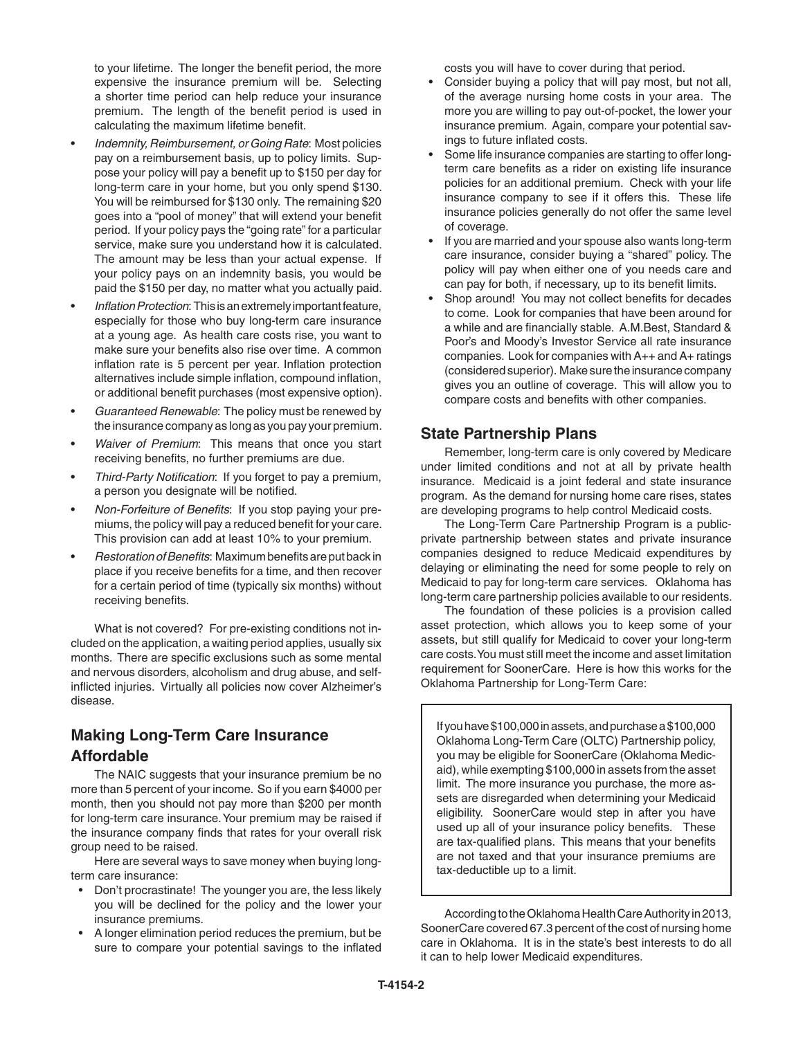to your lifetime. The longer the benefit period, the more expensive the insurance premium will be. Selecting a shorter time period can help reduce your insurance premium. The length of the benefit period is used in calculating the maximum lifetime benefit.

- *Indemnity, Reimbursement, or Going Rate*: Most policies pay on a reimbursement basis, up to policy limits. Suppose your policy will pay a benefit up to \$150 per day for long-term care in your home, but you only spend \$130. You will be reimbursed for \$130 only. The remaining \$20 goes into a "pool of money" that will extend your benefit period. If your policy pays the "going rate" for a particular service, make sure you understand how it is calculated. The amount may be less than your actual expense. If your policy pays on an indemnity basis, you would be paid the \$150 per day, no matter what you actually paid.
- *Inflation Protection*: This is an extremely important feature, especially for those who buy long-term care insurance at a young age. As health care costs rise, you want to make sure your benefits also rise over time. A common inflation rate is 5 percent per year. Inflation protection alternatives include simple inflation, compound inflation, or additional benefit purchases (most expensive option).
- *Guaranteed Renewable*: The policy must be renewed by the insurance company as long as you pay your premium.
- *Waiver of Premium*: This means that once you start receiving benefits, no further premiums are due.
- *Third-Party Notification*: If you forget to pay a premium, a person you designate will be notified.
- *Non-Forfeiture of Benefits*: If you stop paying your premiums, the policy will pay a reduced benefit for your care. This provision can add at least 10% to your premium.
- *Restoration of Benefits*: Maximum benefits are put back in place if you receive benefits for a time, and then recover for a certain period of time (typically six months) without receiving benefits.

What is not covered? For pre-existing conditions not included on the application, a waiting period applies, usually six months. There are specific exclusions such as some mental and nervous disorders, alcoholism and drug abuse, and selfinflicted injuries. Virtually all policies now cover Alzheimer's disease.

# **Making Long-Term Care Insurance Affordable**

The NAIC suggests that your insurance premium be no more than 5 percent of your income. So if you earn \$4000 per month, then you should not pay more than \$200 per month for long-term care insurance. Your premium may be raised if the insurance company finds that rates for your overall risk group need to be raised.

Here are several ways to save money when buying longterm care insurance:

- Don't procrastinate! The younger you are, the less likely you will be declined for the policy and the lower your insurance premiums.
- A longer elimination period reduces the premium, but be sure to compare your potential savings to the inflated

costs you will have to cover during that period.

- Consider buying a policy that will pay most, but not all, of the average nursing home costs in your area. The more you are willing to pay out-of-pocket, the lower your insurance premium. Again, compare your potential savings to future inflated costs.
- Some life insurance companies are starting to offer longterm care benefits as a rider on existing life insurance policies for an additional premium. Check with your life insurance company to see if it offers this. These life insurance policies generally do not offer the same level of coverage.
- If you are married and your spouse also wants long-term care insurance, consider buying a "shared" policy. The policy will pay when either one of you needs care and can pay for both, if necessary, up to its benefit limits.
- Shop around! You may not collect benefits for decades to come. Look for companies that have been around for a while and are financially stable. A.M.Best, Standard & Poor's and Moody's Investor Service all rate insurance companies. Look for companies with A++ and A+ ratings (considered superior). Make sure the insurance company gives you an outline of coverage. This will allow you to compare costs and benefits with other companies.

### **State Partnership Plans**

Remember, long-term care is only covered by Medicare under limited conditions and not at all by private health insurance. Medicaid is a joint federal and state insurance program. As the demand for nursing home care rises, states are developing programs to help control Medicaid costs.

The Long-Term Care Partnership Program is a publicprivate partnership between states and private insurance companies designed to reduce Medicaid expenditures by delaying or eliminating the need for some people to rely on Medicaid to pay for long-term care services. Oklahoma has long-term care partnership policies available to our residents.

The foundation of these policies is a provision called asset protection, which allows you to keep some of your assets, but still qualify for Medicaid to cover your long-term care costs. You must still meet the income and asset limitation requirement for SoonerCare. Here is how this works for the Oklahoma Partnership for Long-Term Care:

If you have \$100,000 in assets, and purchase a \$100,000 Oklahoma Long-Term Care (OLTC) Partnership policy, you may be eligible for SoonerCare (Oklahoma Medicaid), while exempting \$100,000 in assets from the asset limit. The more insurance you purchase, the more assets are disregarded when determining your Medicaid eligibility. SoonerCare would step in after you have used up all of your insurance policy benefits. These are tax-qualified plans. This means that your benefits are not taxed and that your insurance premiums are tax-deductible up to a limit.

According to the Oklahoma Health Care Authority in 2013, SoonerCare covered 67.3 percent of the cost of nursing home care in Oklahoma. It is in the state's best interests to do all it can to help lower Medicaid expenditures.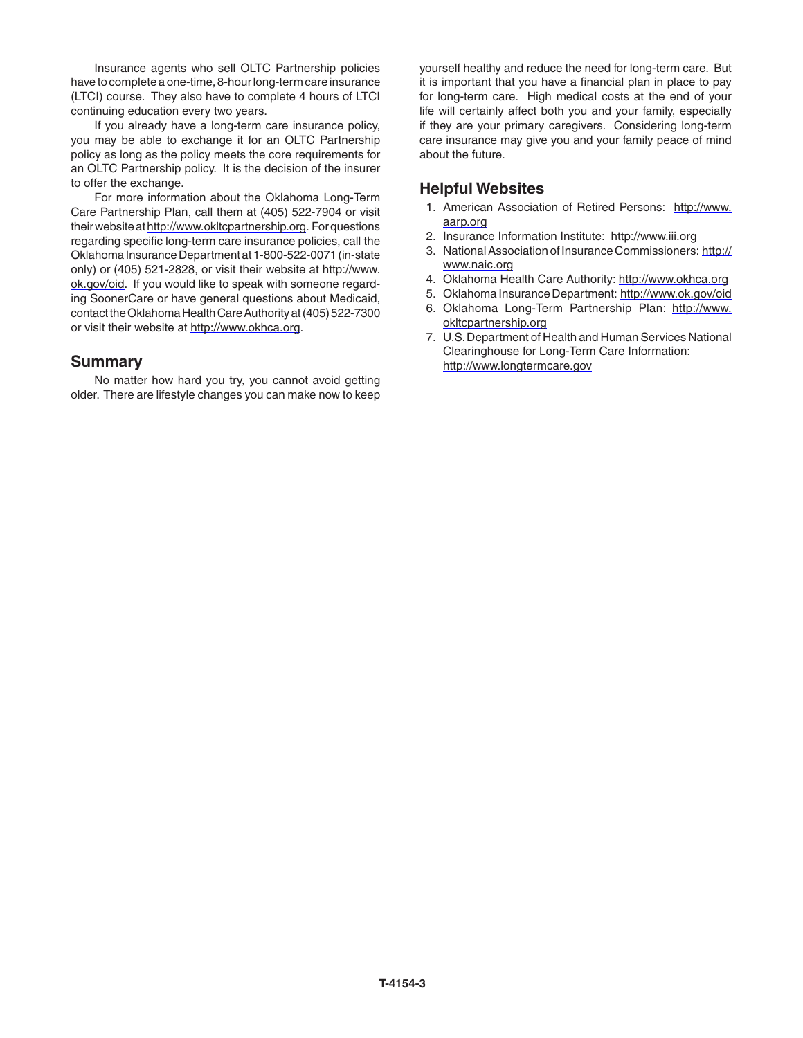Insurance agents who sell OLTC Partnership policies have to complete a one-time, 8-hour long-term care insurance (LTCI) course. They also have to complete 4 hours of LTCI continuing education every two years.

If you already have a long-term care insurance policy, you may be able to exchange it for an OLTC Partnership policy as long as the policy meets the core requirements for an OLTC Partnership policy. It is the decision of the insurer to offer the exchange.

For more information about the Oklahoma Long-Term Care Partnership Plan, call them at (405) 522-7904 or visit their website at http://www.okltcpartnership.org. For questions regarding specific long-term care insurance policies, call the Oklahoma Insurance Department at 1-800-522-0071 (in-state only) or (405) 521-2828, or visit their website at http://www. ok.gov/oid. If you would like to speak with someone regarding SoonerCare or have general questions about Medicaid, contact the Oklahoma Health Care Authority at (405) 522-7300 or visit their website at http://www.okhca.org.

#### **Summary**

No matter how hard you try, you cannot avoid getting older. There are lifestyle changes you can make now to keep

yourself healthy and reduce the need for long-term care. But it is important that you have a financial plan in place to pay for long-term care. High medical costs at the end of your life will certainly affect both you and your family, especially if they are your primary caregivers. Considering long-term care insurance may give you and your family peace of mind about the future.

#### **Helpful Websites**

- 1. American Association of Retired Persons: http://www. aarp.org
- 2. Insurance Information Institute: http://www.iii.org
- 3. National Association of Insurance Commissioners: http:// www.naic.org
- 4. Oklahoma Health Care Authority: http://www.okhca.org
- 5. Oklahoma Insurance Department: http://www.ok.gov/oid
- 6. Oklahoma Long-Term Partnership Plan: http://www. okltcpartnership.org
- 7. U.S. Department of Health and Human Services National Clearinghouse for Long-Term Care Information: http://www.longtermcare.gov